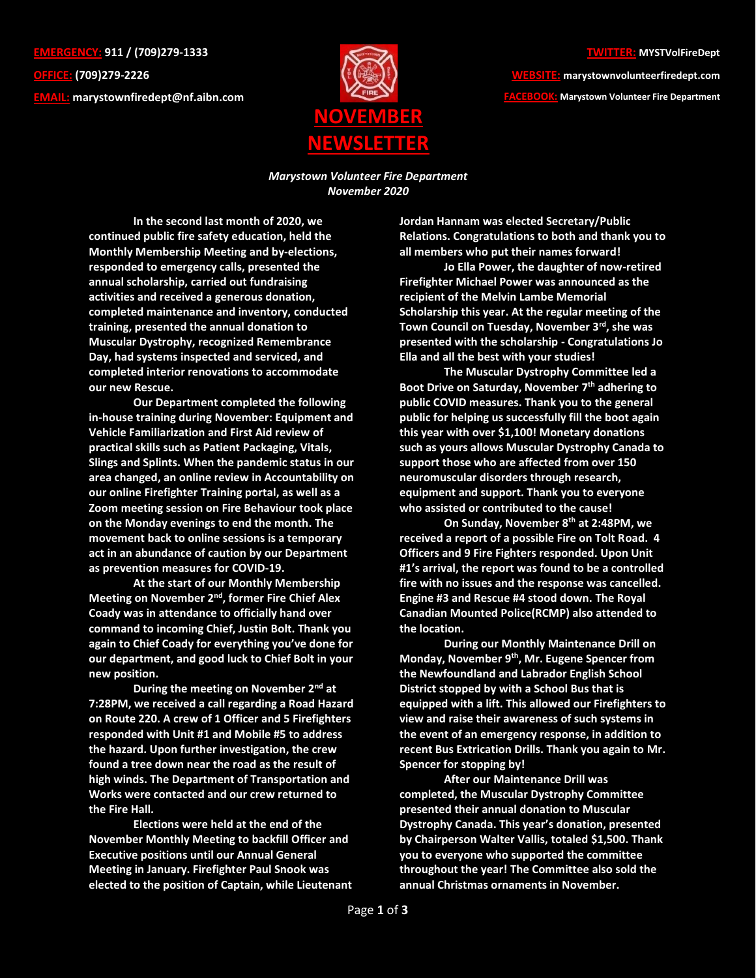**EMERGENCY: 911 / (709)279-1333 OFFICE: (709)279-2226 EMAIL: [marystownfiredept@nf.aibn.com](mailto:marystownfiredept@nf.aibn.com)**



## **TWITTER: MYSTVolFireDept**

**WEBSITE: marystownvolunteerfiredept.com FACEBOOK: Marystown Volunteer Fire Department**

*Marystown Volunteer Fire Department November 2020*

**In the second last month of 2020, we continued public fire safety education, held the Monthly Membership Meeting and by-elections, responded to emergency calls, presented the annual scholarship, carried out fundraising activities and received a generous donation, completed maintenance and inventory, conducted training, presented the annual donation to Muscular Dystrophy, recognized Remembrance Day, had systems inspected and serviced, and completed interior renovations to accommodate our new Rescue.**

**Our Department completed the following in-house training during November: Equipment and Vehicle Familiarization and First Aid review of practical skills such as Patient Packaging, Vitals, Slings and Splints. When the pandemic status in our area changed, an online review in Accountability on our online Firefighter Training portal, as well as a Zoom meeting session on Fire Behaviour took place on the Monday evenings to end the month. The movement back to online sessions is a temporary act in an abundance of caution by our Department as prevention measures for COVID-19.** 

**At the start of our Monthly Membership Meeting on November 2nd , former Fire Chief Alex Coady was in attendance to officially hand over command to incoming Chief, Justin Bolt. Thank you again to Chief Coady for everything you've done for our department, and good luck to Chief Bolt in your new position.** 

**During the meeting on November 2nd at 7:28PM, we received a call regarding a Road Hazard on Route 220. A crew of 1 Officer and 5 Firefighters responded with Unit #1 and Mobile #5 to address the hazard. Upon further investigation, the crew found a tree down near the road as the result of high winds. The Department of Transportation and Works were contacted and our crew returned to the Fire Hall.**

**Elections were held at the end of the November Monthly Meeting to backfill Officer and Executive positions until our Annual General Meeting in January. Firefighter Paul Snook was elected to the position of Captain, while Lieutenant**  **Jordan Hannam was elected Secretary/Public Relations. Congratulations to both and thank you to all members who put their names forward!**

**Jo Ella Power, the daughter of now-retired Firefighter Michael Power was announced as the recipient of the Melvin Lambe Memorial Scholarship this year. At the regular meeting of the Town Council on Tuesday, November 3rd, she was presented with the scholarship - Congratulations Jo Ella and all the best with your studies!**

**The Muscular Dystrophy Committee led a Boot Drive on Saturday, November 7 th adhering to public COVID measures. Thank you to the general public for helping us successfully fill the boot again this year with over \$1,100! Monetary donations such as yours allows Muscular Dystrophy Canada to support those who are affected from over 150 neuromuscular disorders through research, equipment and support. Thank you to everyone who assisted or contributed to the cause!**

**On Sunday, November 8th at 2:48PM, we received a report of a possible Fire on Tolt Road. 4 Officers and 9 Fire Fighters responded. Upon Unit #1's arrival, the report was found to be a controlled fire with no issues and the response was cancelled. Engine #3 and Rescue #4 stood down. The Royal Canadian Mounted Police(RCMP) also attended to the location.**

**During our Monthly Maintenance Drill on Monday, November 9th , Mr. Eugene Spencer from the Newfoundland and Labrador English School District stopped by with a School Bus that is equipped with a lift. This allowed our Firefighters to view and raise their awareness of such systems in the event of an emergency response, in addition to recent Bus Extrication Drills. Thank you again to Mr. Spencer for stopping by!**

**After our Maintenance Drill was completed, the Muscular Dystrophy Committee presented their annual donation to Muscular Dystrophy Canada. This year's donation, presented by Chairperson Walter Vallis, totaled \$1,500. Thank you to everyone who supported the committee throughout the year! The Committee also sold the annual Christmas ornaments in November.**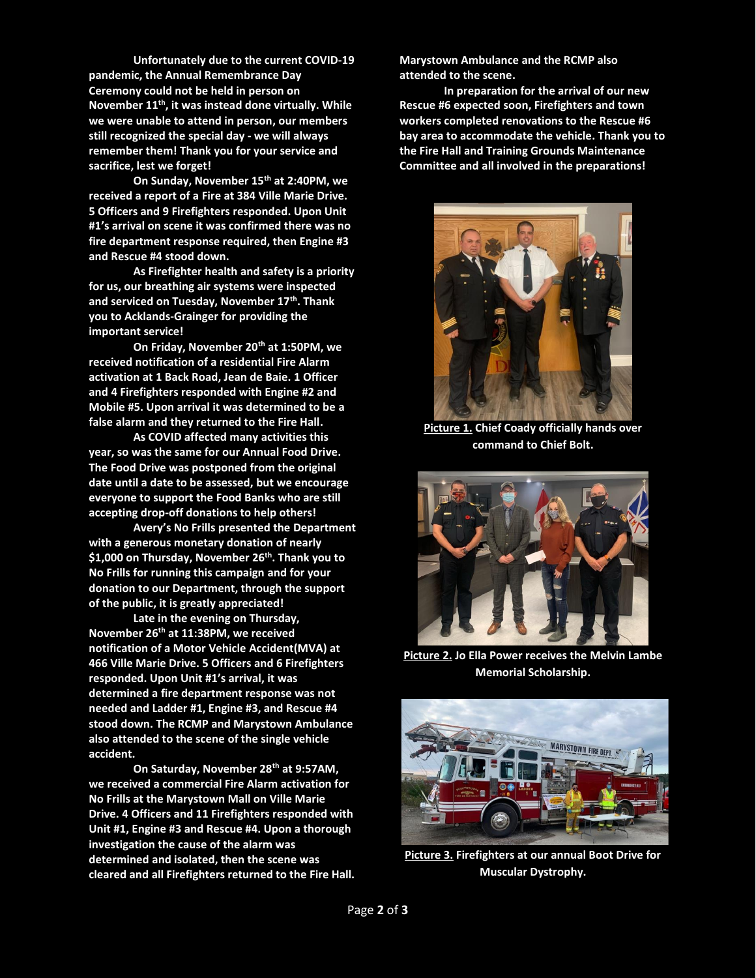**Unfortunately due to the current COVID-19 pandemic, the Annual Remembrance Day Ceremony could not be held in person on November 11th, it was instead done virtually. While we were unable to attend in person, our members still recognized the special day - we will always remember them! Thank you for your service and sacrifice, lest we forget!**

**On Sunday, November 15th at 2:40PM, we received a report of a Fire at 384 Ville Marie Drive. 5 Officers and 9 Firefighters responded. Upon Unit #1's arrival on scene it was confirmed there was no fire department response required, then Engine #3 and Rescue #4 stood down.** 

**As Firefighter health and safety is a priority for us, our breathing air systems were inspected and serviced on Tuesday, November 17th . Thank you to Acklands-Grainger for providing the important service!**

**On Friday, November 20th at 1:50PM, we received notification of a residential Fire Alarm activation at 1 Back Road, Jean de Baie. 1 Officer and 4 Firefighters responded with Engine #2 and Mobile #5. Upon arrival it was determined to be a false alarm and they returned to the Fire Hall.** 

**As COVID affected many activities this year, so was the same for our Annual Food Drive. The Food Drive was postponed from the original date until a date to be assessed, but we encourage everyone to support the Food Banks who are still accepting drop-off donations to help others!** 

**Avery's No Frills presented the Department with a generous monetary donation of nearly \$1,000 on Thursday, November 26th. Thank you to No Frills for running this campaign and for your donation to our Department, through the support of the public, it is greatly appreciated!**

**Late in the evening on Thursday, November 26th at 11:38PM, we received notification of a Motor Vehicle Accident(MVA) at 466 Ville Marie Drive. 5 Officers and 6 Firefighters responded. Upon Unit #1's arrival, it was determined a fire department response was not needed and Ladder #1, Engine #3, and Rescue #4 stood down. The RCMP and Marystown Ambulance also attended to the scene of the single vehicle accident.**

**On Saturday, November 28th at 9:57AM, we received a commercial Fire Alarm activation for No Frills at the Marystown Mall on Ville Marie Drive. 4 Officers and 11 Firefighters responded with Unit #1, Engine #3 and Rescue #4. Upon a thorough investigation the cause of the alarm was determined and isolated, then the scene was cleared and all Firefighters returned to the Fire Hall.**  **Marystown Ambulance and the RCMP also attended to the scene.** 

**In preparation for the arrival of our new Rescue #6 expected soon, Firefighters and town workers completed renovations to the Rescue #6 bay area to accommodate the vehicle. Thank you to the Fire Hall and Training Grounds Maintenance Committee and all involved in the preparations!**



**Picture 1. Chief Coady officially hands over command to Chief Bolt.**



**Picture 2. Jo Ella Power receives the Melvin Lambe Memorial Scholarship.**



**Picture 3. Firefighters at our annual Boot Drive for Muscular Dystrophy.**